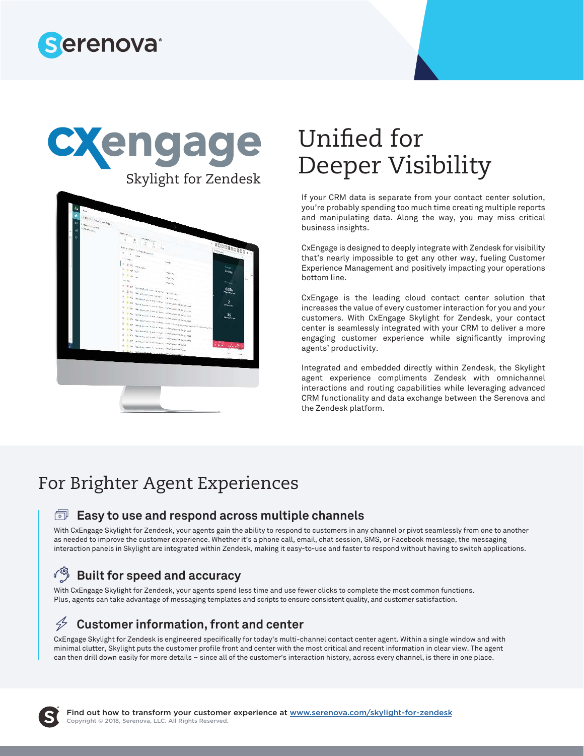





# Unified for Deeper Visibility

If your CRM data is separate from your contact center solution, you're probably spending too much time creating multiple reports and manipulating data. Along the way, you may miss critical business insights.

CxEngage is designed to deeply integrate with Zendesk for visibility that's nearly impossible to get any other way, fueling Customer Experience Management and positively impacting your operations bottom line.

CxEngage is the leading cloud contact center solution that increases the value of every customer interaction for you and your customers. With CxEngage Skylight for Zendesk, your contact center is seamlessly integrated with your CRM to deliver a more engaging customer experience while significantly improving agents' productivity.

Integrated and embedded directly within Zendesk, the Skylight agent experience compliments Zendesk with omnichannel interactions and routing capabilities while leveraging advanced CRM functionality and data exchange between the Serenova and the Zendesk platform.

### For Brighter Agent Experiences

### **Easy to use and respond across multiple channels**

With CxEngage Skylight for Zendesk, your agents gain the ability to respond to customers in any channel or pivot seamlessly from one to another as needed to improve the customer experience. Whether it's a phone call, email, chat session, SMS, or Facebook message, the messaging interaction panels in Skylight are integrated within Zendesk, making it easy-to-use and faster to respond without having to switch applications.

#### ৴<sup>છ</sup>} **Built for speed and accuracy**

With CxEngage Skylight for Zendesk, your agents spend less time and use fewer clicks to complete the most common functions. Plus, agents can take advantage of messaging templates and scripts to ensure consistent quality, and customer satisfaction.

#### $\cancel{2}$ **Customer information, front and center**

CxEngage Skylight for Zendesk is engineered specifically for today's multi-channel contact center agent. Within a single window and with minimal clutter, Skylight puts the customer profile front and center with the most critical and recent information in clear view. The agent can then drill down easily for more details – since all of the customer's interaction history, across every channel, is there in one place.

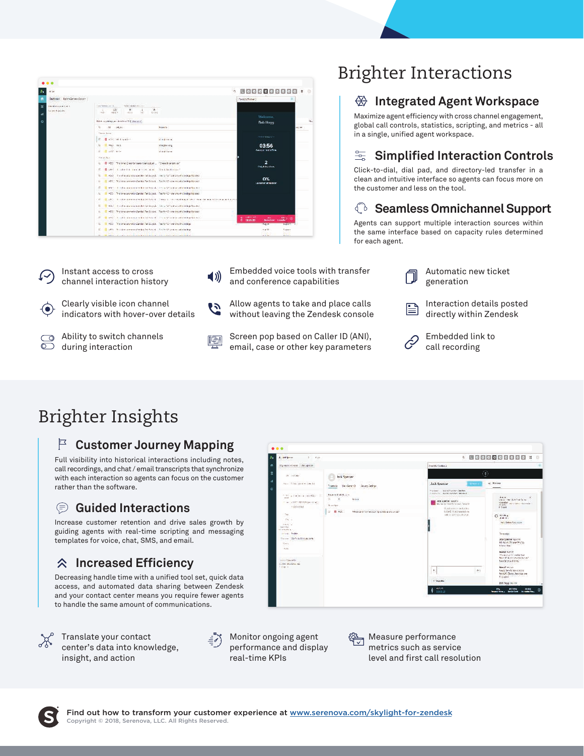| $\bullet$ $\bullet$ $\bullet$            |                                                                                                                                                                                                                               |                                                                                                                               |
|------------------------------------------|-------------------------------------------------------------------------------------------------------------------------------------------------------------------------------------------------------------------------------|-------------------------------------------------------------------------------------------------------------------------------|
| 434                                      |                                                                                                                                                                                                                               | $^{\circ}$ 800000000 $^{\circ}$<br>٠                                                                                          |
| Darbeard Detry ScienceScore              |                                                                                                                                                                                                                               | Providity Professor 2                                                                                                         |
| <b>Galileira Hiris</b><br>Garner's ander | na WestLatti,<br>Some Painter, the Link<br>120.000<br>$\Delta$<br>$135 -$<br>W.<br>SHILL HERN<br><b>Sites</b><br>$-0.11$<br>w                                                                                                 |                                                                                                                               |
|                                          | 0000<br>The complete the design and complete the                                                                                                                                                                              | <b>Welcome</b><br>Si.<br><b>Bab Hang</b>                                                                                      |
|                                          | $M = -200$<br>×.<br>Francis-                                                                                                                                                                                                  | $-16$                                                                                                                         |
|                                          | Triang Server<br>E. Battleblack-<br>character at                                                                                                                                                                              | <b>Activities</b> of a                                                                                                        |
|                                          | <b>E. H. Hall Hall</b><br>cracyterium,                                                                                                                                                                                        | 03:56                                                                                                                         |
|                                          | il distribu-<br>shared been.<br>Fire at Apri-                                                                                                                                                                                 | Amount for in Time                                                                                                            |
|                                          | L B -SC Painter Comprehensions (2007 - Consideration")                                                                                                                                                                        | $\overline{a}$                                                                                                                |
|                                          | E Buse ( steels constitute and the hadroned                                                                                                                                                                                   | Diffull frontient<br>0%<br><b>LEASE OF SITUATION</b>                                                                          |
|                                          | El vold - final beaster stresses del rest acquite instruction for a service to consequence in<br>u.                                                                                                                           |                                                                                                                               |
|                                          | (1991) Tristers services for bit for funds of the form would the highlightenial<br>ALC:                                                                                                                                       |                                                                                                                               |
|                                          | E - E www.composition.com contract to the state of the contract of the transmit-                                                                                                                                              |                                                                                                                               |
|                                          | T HSS Printers automatics Zander Ferstogen. Resident 21 statistic vehicle deputation of<br>ĸ                                                                                                                                  |                                                                                                                               |
|                                          | 4. CLASS In this case in confident of the sound of the modeling state in a class of the constant                                                                                                                              |                                                                                                                               |
|                                          | ×.<br>The first experience is a significant of the state of state attended                                                                                                                                                    |                                                                                                                               |
|                                          | #2011 The teamer and contact Teach cost. Teachers' was are all contractions of<br>14                                                                                                                                          |                                                                                                                               |
|                                          | Charles Linda and a property to a state of the contract of the contract of the contract of<br>v.                                                                                                                              | $\begin{array}{cc} 0 & \text{for } 0 < 0.75 \\ 0 & \text{for } 0.05899 \end{array}$<br><b>DO</b><br>■空<br><b>Bergha Land.</b> |
|                                          | 450 Puning and World Williams Control (World Control Williams)<br>×                                                                                                                                                           | <b>Pages</b><br><b>PARKS</b>                                                                                                  |
|                                          | ※ ■ 1979. (Thi hiden mean of the less Dol A April, 17.009-32.5mil.mo.of ethnikap.                                                                                                                                             | $+ 1.31$<br><b>Zakard</b>                                                                                                     |
|                                          | 19. The same of the same company and the same of the same of the same same of the same of the same of the same of the same of the same of the same of the same of the same of the same of the same of the same of the same of | $4 - 14$<br>Not and                                                                                                           |

- Instant access to cross channel interaction history Clearly visible icon channel  $(\bullet)$
- Ability to switch channels ಂ  $\overline{\circ}$ during interaction

indicators with hover-over details

- Embedded voice tools with transfer  $\blacktriangleleft$  )) and conference capabilities
- Allow agents to take and place calls ひ without leaving the Zendesk console
- Screen pop based on Caller ID (ANI), 晒 email, case or other key parameters

## Brighter Interactions

### **Integrated Agent Workspace**

Maximize agent efficiency with cross channel engagement, global call controls, statistics, scripting, and metrics - all in a single, unified agent workspace.

### $\equiv$  Simplified Interaction Controls

Click-to-dial, dial pad, and directory-led transfer in a clean and intuitive interface so agents can focus more on the customer and less on the tool.

### **Seamless Omnichannel Support**

Agents can support multiple interaction sources within the same interface based on capacity rules determined for each agent.



Interaction details posted B directly within Zendesk



Embedded link to call recording

## Brighter Insights

### **Customer Journey Mapping**

Full visibility into historical interactions including notes, call recordings, and chat / email transcripts that synchronize with each interaction so agents can focus on the customer rather than the software.

#### ⊜ **Guided Interactions**

Increase customer retention and drive sales growth by guiding agents with real-time scripting and messaging templates for voice, chat, SMS, and email.

### **Increased Efficiency**

Decreasing handle time with a unified tool set, quick data access, and automated data sharing between Zendesk and your contact center means you require fewer agents to handle the same amount of communications.



Translate your contact center's data into knowledge, insight, and action

Monitor ongoing agent performance and display real-time KPIs

Measure performance metrics such as service level and first call resolution



Æ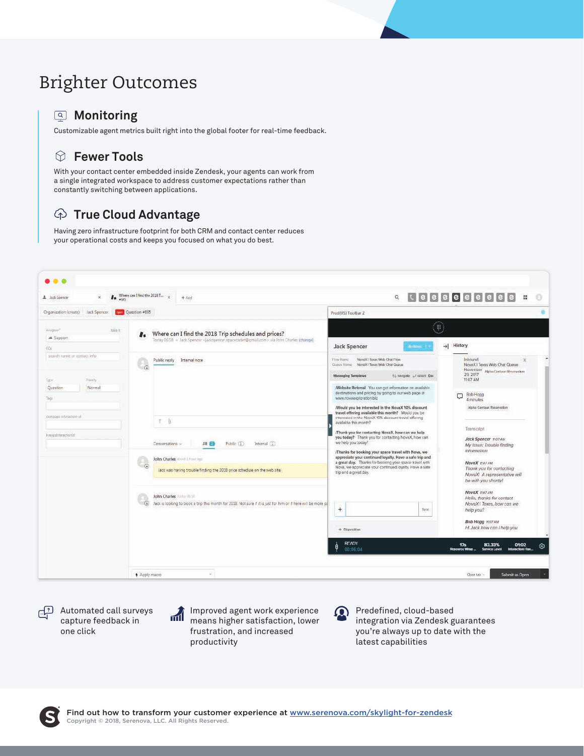## Brighter Outcomes

#### **Monitoring**

Customizable agent metrics built right into the global footer for real-time feedback.

### **Fewer Tools**

With your contact center embedded inside Zendesk, your agents can work from a single integrated workspace to address customer expectations rather than constantly switching between applications.

### **True Cloud Advantage**

Having zero infrastructure footprint for both CRM and contact center reduces your operational costs and keeps you focused on what you do best.



Automated call surveys capture feedback in one click



Improved agent work experience means higher satisfaction, lower frustration, and increased productivity



Predefined, cloud-based integration via Zendesk guarantees you're always up to date with the latest capabilities